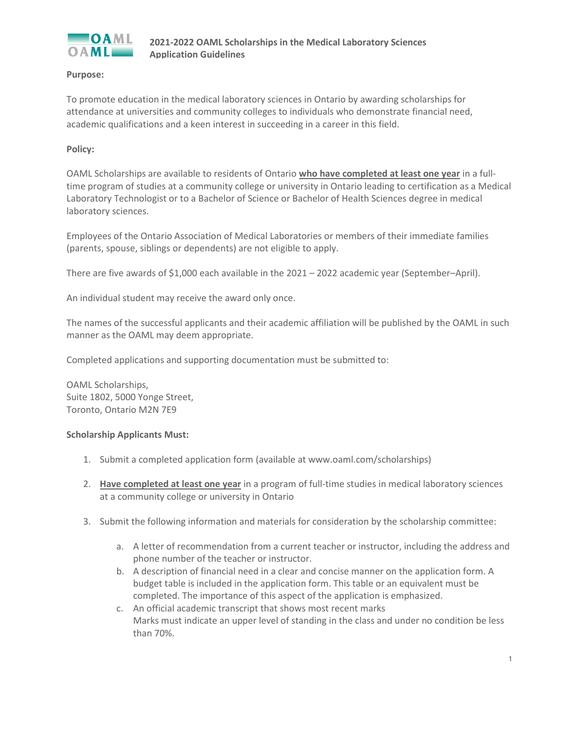

# **Purpose:**

To promote education in the medical laboratory sciences in Ontario by awarding scholarships for attendance at universities and community colleges to individuals who demonstrate financial need, academic qualifications and a keen interest in succeeding in a career in this field.

# **Policy:**

OAML Scholarships are available to residents of Ontario **who have completed at least one year** in a fulltime program of studies at a community college or university in Ontario leading to certification as a Medical Laboratory Technologist or to a Bachelor of Science or Bachelor of Health Sciences degree in medical laboratory sciences.

Employees of the Ontario Association of Medical Laboratories or members of their immediate families (parents, spouse, siblings or dependents) are not eligible to apply.

There are five awards of \$1,000 each available in the 2021 – 2022 academic year (September–April).

An individual student may receive the award only once.

The names of the successful applicants and their academic affiliation will be published by the OAML in such manner as the OAML may deem appropriate.

Completed applications and supporting documentation must be submitted to:

OAML Scholarships, Suite 1802, 5000 Yonge Street, Toronto, Ontario M2N 7E9

### **Scholarship Applicants Must:**

- 1. Submit a completed application form (available at www.oaml.com/scholarships)
- 2. **Have completed at least one year** in a program of full-time studies in medical laboratory sciences at a community college or university in Ontario
- 3. Submit the following information and materials for consideration by the scholarship committee:
	- a. A letter of recommendation from a current teacher or instructor, including the address and phone number of the teacher or instructor.
	- b. A description of financial need in a clear and concise manner on the application form. A budget table is included in the application form. This table or an equivalent must be completed. The importance of this aspect of the application is emphasized.
	- c. An official academic transcript that shows most recent marks Marks must indicate an upper level of standing in the class and under no condition be less than 70%.